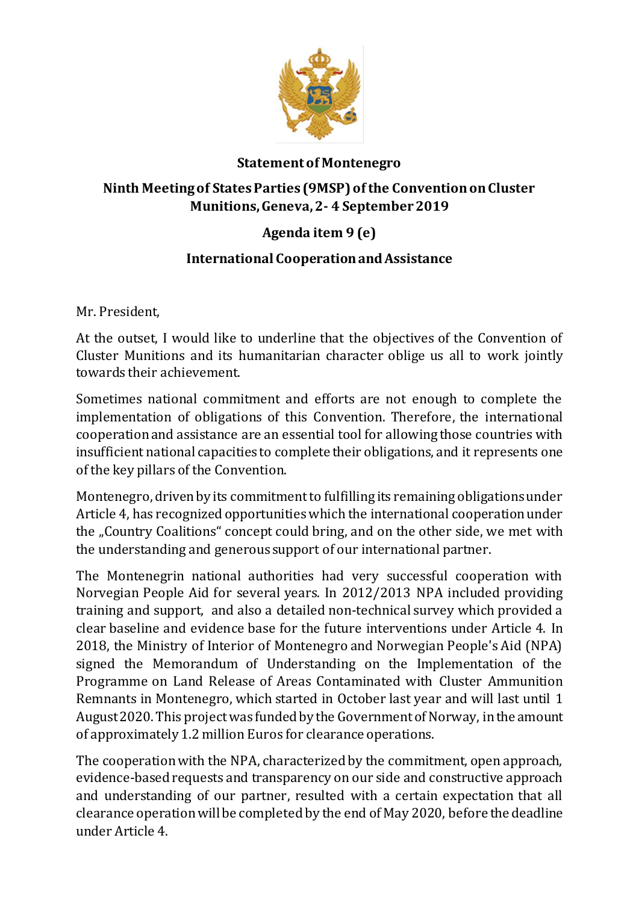

### **Statement of Montenegro**

## **Ninth Meeting of States Parties (9MSP) of the Convention on Cluster Munitions, Geneva, 2- 4 September 2019**

# **Agenda item 9 (e)**

## **International Cooperation and Assistance**

Mr. President,

At the outset, I would like to underline that the objectives of the Convention of Cluster Munitions and its humanitarian character oblige us all to work jointly towards their achievement.

Sometimes national commitment and efforts are not enough to complete the implementation of obligations of this Convention. Therefore, the international cooperation and assistance are an essential tool for allowing those countries with insufficient national capacities to complete their obligations, and it represents one of the key pillars of the Convention.

Montenegro, driven by its commitment to fulfilling its remaining obligations under Article 4, has recognized opportunities which the international cooperation under the "Country Coalitions" concept could bring, and on the other side, we met with the understanding and generous support of our international partner.

The Montenegrin national authorities had very successful cooperation with Norvegian People Aid for several years. In 2012/2013 NPA included providing training and support, and also a detailed non-technical survey which provided a clear baseline and evidence base for the future interventions under Article 4. In 2018, the Ministry of Interior of Montenegro and Norwegian People's Aid (NPA) signed the Memorandum of Understanding on the Implementation of the Programme on Land Release of Areas Contaminated with Cluster Ammunition Remnants in Montenegro, which started in October last year and will last until 1 August 2020. This project was funded by the Government of Norway, in the amount of approximately 1.2 million Euros for clearance operations.

The cooperation with the NPA, characterized by the commitment, open approach, evidence-based requests and transparency on our side and constructive approach and understanding of our partner, resulted with a certain expectation that all clearance operation will be completed by the end of May 2020, before the deadline under Article 4.